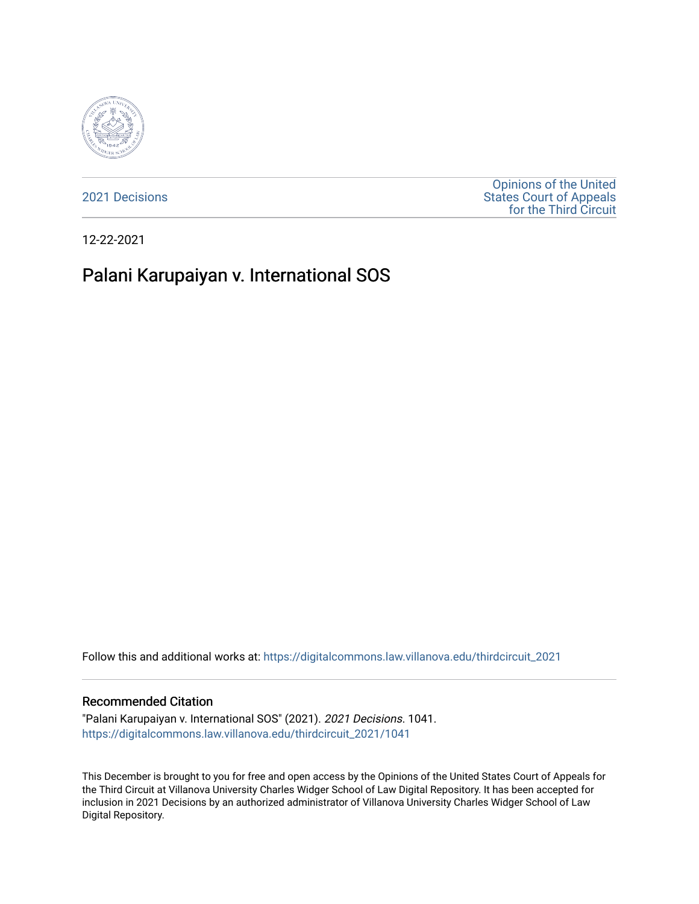

[2021 Decisions](https://digitalcommons.law.villanova.edu/thirdcircuit_2021)

[Opinions of the United](https://digitalcommons.law.villanova.edu/thirdcircuit)  [States Court of Appeals](https://digitalcommons.law.villanova.edu/thirdcircuit)  [for the Third Circuit](https://digitalcommons.law.villanova.edu/thirdcircuit) 

12-22-2021

# Palani Karupaiyan v. International SOS

Follow this and additional works at: [https://digitalcommons.law.villanova.edu/thirdcircuit\\_2021](https://digitalcommons.law.villanova.edu/thirdcircuit_2021?utm_source=digitalcommons.law.villanova.edu%2Fthirdcircuit_2021%2F1041&utm_medium=PDF&utm_campaign=PDFCoverPages) 

#### Recommended Citation

"Palani Karupaiyan v. International SOS" (2021). 2021 Decisions. 1041. [https://digitalcommons.law.villanova.edu/thirdcircuit\\_2021/1041](https://digitalcommons.law.villanova.edu/thirdcircuit_2021/1041?utm_source=digitalcommons.law.villanova.edu%2Fthirdcircuit_2021%2F1041&utm_medium=PDF&utm_campaign=PDFCoverPages) 

This December is brought to you for free and open access by the Opinions of the United States Court of Appeals for the Third Circuit at Villanova University Charles Widger School of Law Digital Repository. It has been accepted for inclusion in 2021 Decisions by an authorized administrator of Villanova University Charles Widger School of Law Digital Repository.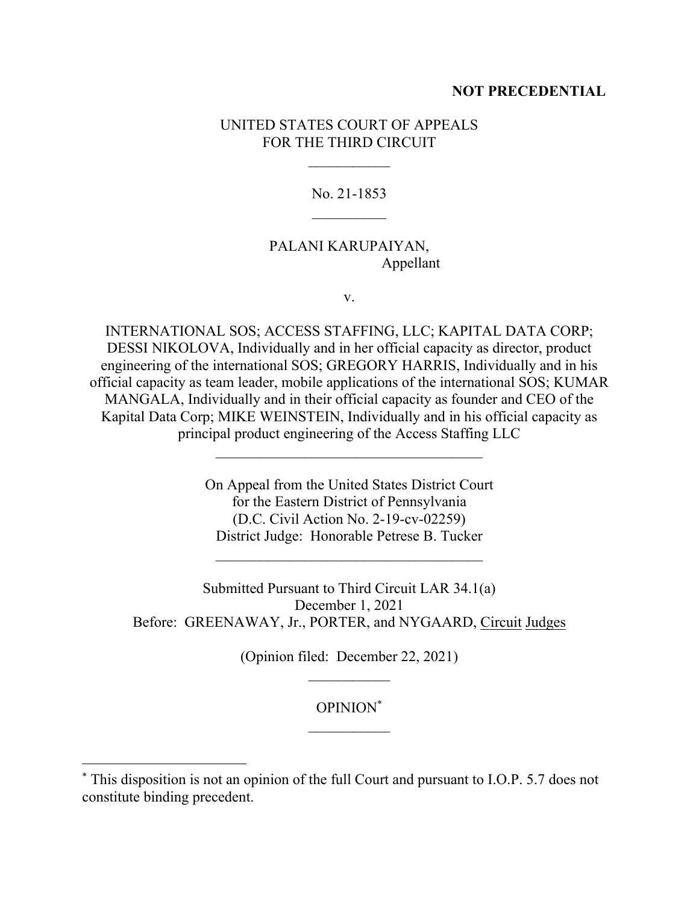### **NOT PRECEDENTIAL**

### UNITED STATES COURT OF APPEALS FOR THE THIRD CIRCUIT

No. 21-1853  $\mathcal{L}_\text{max}$ 

## PALANI KARUPAIYAN, Appellant

v.

INTERNATIONAL SOS; ACCESS STAFFING, LLC; KAPITAL DATA CORP; DESSI NIKOLOVA, Individually and in her official capacity as director, product engineering of the international SOS; GREGORY HARRIS, Individually and in his official capacity as team leader, mobile applications of the international SOS; KUMAR MANGALA, Individually and in their official capacity as founder and CEO of the Kapital Data Corp; MIKE WEINSTEIN, Individually and in his official capacity as principal product engineering of the Access Staffing LLC

> On Appeal from the United States District Court for the Eastern District of Pennsylvania (D.C. Civil Action No. 2-19-cv-02259) District Judge: Honorable Petrese B. Tucker

 $\mathcal{L}_\text{max}$ 

Submitted Pursuant to Third Circuit LAR 34.1(a) December 1, 2021 Before: GREENAWAY, Jr., PORTER, and NYGAARD, Circuit Judges

(Opinion filed: December 22, 2021)

OPINION\*  $\mathcal{L}_\text{max}$ 

<sup>\*</sup> This disposition is not an opinion of the full Court and pursuant to I.O.P. 5.7 does not constitute binding precedent.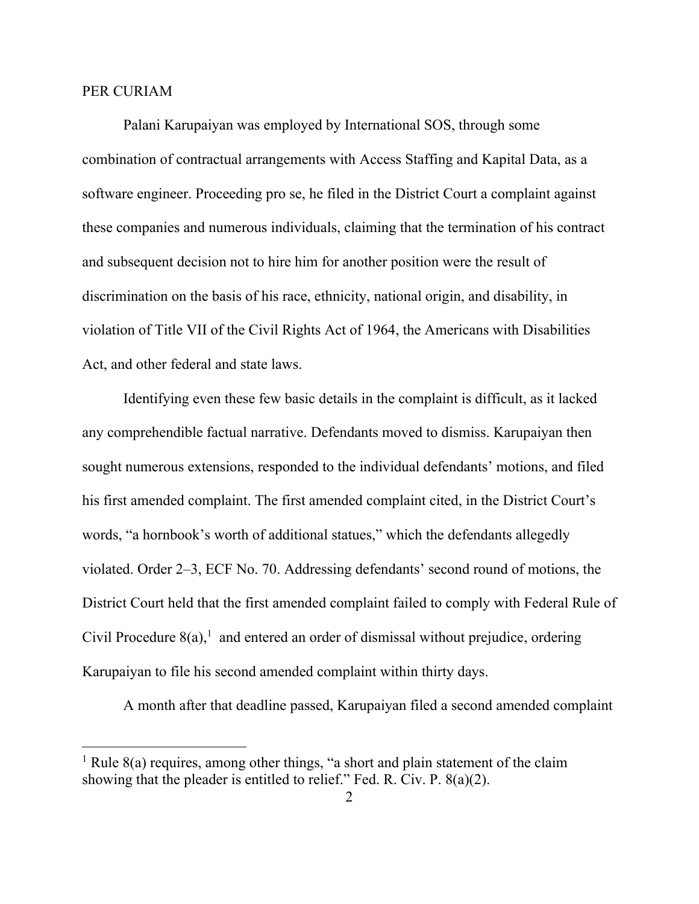#### PER CURIAM

Palani Karupaiyan was employed by International SOS, through some combination of contractual arrangements with Access Staffing and Kapital Data, as a software engineer. Proceeding pro se, he filed in the District Court a complaint against these companies and numerous individuals, claiming that the termination of his contract and subsequent decision not to hire him for another position were the result of discrimination on the basis of his race, ethnicity, national origin, and disability, in violation of Title VII of the Civil Rights Act of 1964, the Americans with Disabilities Act, and other federal and state laws.

Identifying even these few basic details in the complaint is difficult, as it lacked any comprehendible factual narrative. Defendants moved to dismiss. Karupaiyan then sought numerous extensions, responded to the individual defendants' motions, and filed his first amended complaint. The first amended complaint cited, in the District Court's words, "a hornbook's worth of additional statues," which the defendants allegedly violated. Order 2–3, ECF No. 70. Addressing defendants' second round of motions, the District Court held that the first amended complaint failed to comply with Federal Rule of Civil Procedure  $8(a)$ ,<sup>1</sup> and entered an order of dismissal without prejudice, ordering Karupaiyan to file his second amended complaint within thirty days.

A month after that deadline passed, Karupaiyan filed a second amended complaint

<sup>&</sup>lt;sup>1</sup> Rule  $8(a)$  requires, among other things, "a short and plain statement of the claim showing that the pleader is entitled to relief." Fed. R. Civ. P. 8(a)(2).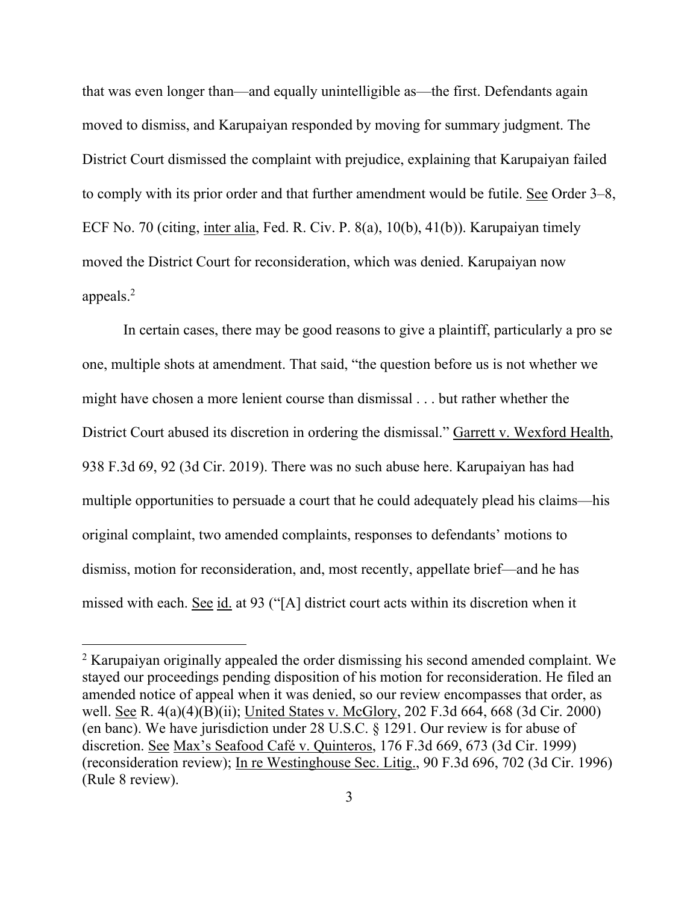that was even longer than—and equally unintelligible as—the first. Defendants again moved to dismiss, and Karupaiyan responded by moving for summary judgment. The District Court dismissed the complaint with prejudice, explaining that Karupaiyan failed to comply with its prior order and that further amendment would be futile. See Order 3–8, ECF No. 70 (citing, inter alia, Fed. R. Civ. P. 8(a), 10(b), 41(b)). Karupaiyan timely moved the District Court for reconsideration, which was denied. Karupaiyan now appeals. 2

In certain cases, there may be good reasons to give a plaintiff, particularly a pro se one, multiple shots at amendment. That said, "the question before us is not whether we might have chosen a more lenient course than dismissal . . . but rather whether the District Court abused its discretion in ordering the dismissal." Garrett v. Wexford Health, 938 F.3d 69, 92 (3d Cir. 2019). There was no such abuse here. Karupaiyan has had multiple opportunities to persuade a court that he could adequately plead his claims—his original complaint, two amended complaints, responses to defendants' motions to dismiss, motion for reconsideration, and, most recently, appellate brief—and he has missed with each. See id. at 93 ("[A] district court acts within its discretion when it

<sup>&</sup>lt;sup>2</sup> Karupaiyan originally appealed the order dismissing his second amended complaint. We stayed our proceedings pending disposition of his motion for reconsideration. He filed an amended notice of appeal when it was denied, so our review encompasses that order, as well. See R. 4(a)(4)(B)(ii); United States v. McGlory, 202 F.3d 664, 668 (3d Cir. 2000) (en banc). We have jurisdiction under 28 U.S.C. § 1291. Our review is for abuse of discretion. See Max's Seafood Café v. Quinteros, 176 F.3d 669, 673 (3d Cir. 1999) (reconsideration review); In re Westinghouse Sec. Litig., 90 F.3d 696, 702 (3d Cir. 1996) (Rule 8 review).